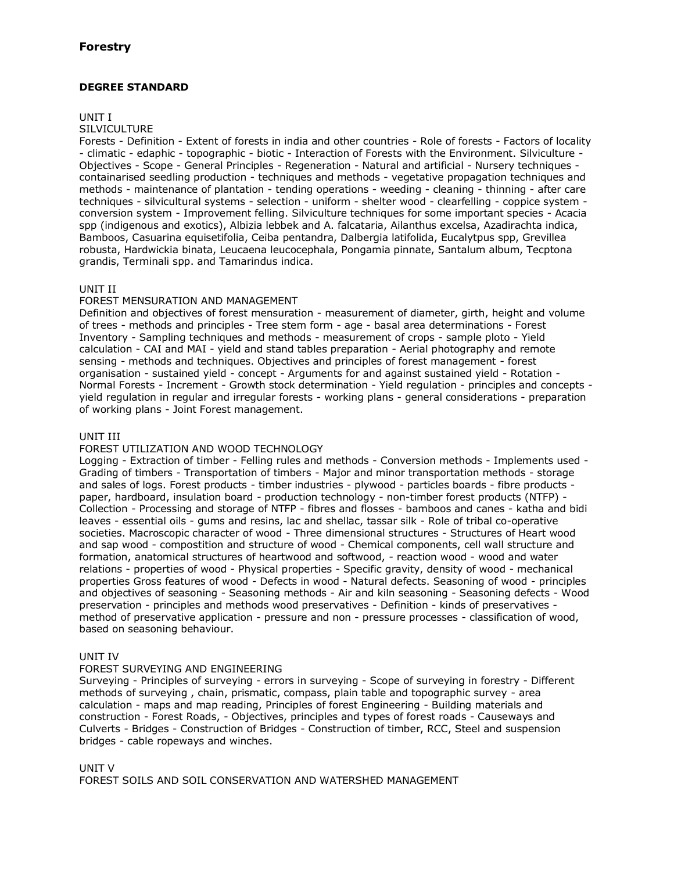# **DEGREE STANDARD**

### UNIT I

#### **SILVICULTURE**

Forests - Definition - Extent of forests in india and other countries - Role of forests - Factors of locality - climatic - edaphic - topographic - biotic - Interaction of Forests with the Environment. Silviculture - Objectives - Scope - General Principles - Regeneration - Natural and artificial - Nursery techniques containarised seedling production - techniques and methods - vegetative propagation techniques and methods - maintenance of plantation - tending operations - weeding - cleaning - thinning - after care techniques - silvicultural systems - selection - uniform - shelter wood - clearfelling - coppice system conversion system - Improvement felling. Silviculture techniques for some important species - Acacia spp (indigenous and exotics), Albizia lebbek and A. falcataria, Ailanthus excelsa, Azadirachta indica, Bamboos, Casuarina equisetifolia, Ceiba pentandra, Dalbergia latifolida, Eucalytpus spp, Grevillea robusta, Hardwickia binata, Leucaena leucocephala, Pongamia pinnate, Santalum album, Tecptona grandis, Terminali spp. and Tamarindus indica.

### UNIT II

### FOREST MENSURATION AND MANAGEMENT

Definition and objectives of forest mensuration - measurement of diameter, girth, height and volume of trees - methods and principles - Tree stem form - age - basal area determinations - Forest Inventory - Sampling techniques and methods - measurement of crops - sample ploto - Yield calculation - CAI and MAI - yield and stand tables preparation - Aerial photography and remote sensing - methods and techniques. Objectives and principles of forest management - forest organisation - sustained yield - concept - Arguments for and against sustained yield - Rotation - Normal Forests - Increment - Growth stock determination - Yield regulation - principles and concepts yield regulation in regular and irregular forests - working plans - general considerations - preparation of working plans - Joint Forest management.

## UNIT III

### FOREST UTILIZATION AND WOOD TECHNOLOGY

Logging - Extraction of timber - Felling rules and methods - Conversion methods - Implements used - Grading of timbers - Transportation of timbers - Major and minor transportation methods - storage and sales of logs. Forest products - timber industries - plywood - particles boards - fibre products paper, hardboard, insulation board - production technology - non-timber forest products (NTFP) - Collection - Processing and storage of NTFP - fibres and flosses - bamboos and canes - katha and bidi leaves - essential oils - gums and resins, lac and shellac, tassar silk - Role of tribal co-operative societies. Macroscopic character of wood - Three dimensional structures - Structures of Heart wood and sap wood - compostition and structure of wood - Chemical components, cell wall structure and formation, anatomical structures of heartwood and softwood, - reaction wood - wood and water relations - properties of wood - Physical properties - Specific gravity, density of wood - mechanical properties Gross features of wood - Defects in wood - Natural defects. Seasoning of wood - principles and objectives of seasoning - Seasoning methods - Air and kiln seasoning - Seasoning defects - Wood preservation - principles and methods wood preservatives - Definition - kinds of preservatives method of preservative application - pressure and non - pressure processes - classification of wood, based on seasoning behaviour.

### UNIT IV

## FOREST SURVEYING AND ENGINEERING

Surveying - Principles of surveying - errors in surveying - Scope of surveying in forestry - Different methods of surveying , chain, prismatic, compass, plain table and topographic survey - area calculation - maps and map reading, Principles of forest Engineering - Building materials and construction - Forest Roads, - Objectives, principles and types of forest roads - Causeways and Culverts - Bridges - Construction of Bridges - Construction of timber, RCC, Steel and suspension bridges - cable ropeways and winches.

### UNIT V

FOREST SOILS AND SOIL CONSERVATION AND WATERSHED MANAGEMENT